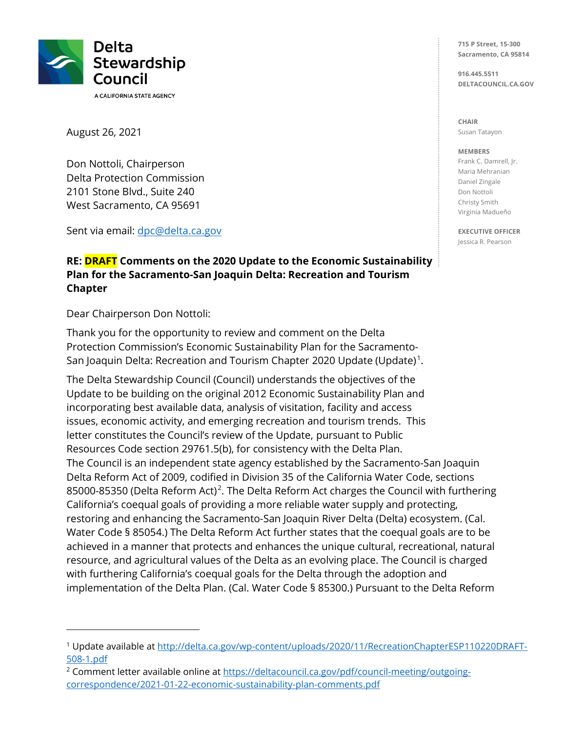

August 26, 2021

 Delta Protection Commission West Sacramento, CA 95691 Don Nottoli, Chairperson 2101 Stone Blvd., Suite 240

Sent via email: dpc[@delta.ca.gov](mailto:dpc@delta.ca.gov) 

#### **RE: DRAFT Comments on the 2020 Update to the Economic Sustainability Plan for the Sacramento-San Joaquin Delta: Recreation and Tourism Chapter**

Dear Chairperson Don Nottoli:

San Joaquin Delta: Recreation and Tourism Chapter 2020 Update (Update)<sup>1</sup>. Thank you for the opportunity to review and comment on the Delta Protection Commission's Economic Sustainability Plan for the Sacramento-

 Update to be building on the original 2012 Economic Sustainability Plan and issues, economic activity, and emerging recreation and tourism trends. This letter constitutes the Council's review of the Update, pursuant to Public Delta Reform Act of 2009, codified in Division 35 of the California Water Code, sections California's coequal goals of providing a more reliable water supply and protecting, achieved in a manner that protects and enhances the unique cultural, recreational, natural with furthering California's coequal goals for the Delta through the adoption and implementation of the Delta Plan. (Cal. Water Code § 85300.) Pursuant to the Delta Reform The Delta Stewardship Council (Council) understands the objectives of the incorporating best available data, analysis of visitation, facility and access Resources Code section 29761.5(b), for consistency with the Delta Plan. The Council is an independent state agency established by the Sacramento-San Joaquin 85000-85350 (Delta Reform Act)<sup>2</sup>. The Delta Reform Act charges the Council with furthering restoring and enhancing the Sacramento-San Joaquin River Delta (Delta) ecosystem. (Cal. Water Code § 85054.) The Delta Reform Act further states that the coequal goals are to be resource, and agricultural values of the Delta as an evolving place. The Council is charged

**715 P Street, 15-300 Sacramento, CA 95814** 

**916.445.5511 [DELTACOUNCIL.CA.GOV](https://DELTACOUNCIL.CA.GOV)** 

**CHAIR**  Susan Tatayon

#### **MEMBERS**

Frank C. Damrell, Jr. Maria Mehranian Daniel Zingale Don Nottoli Christy Smith Virginia Madueño

**EXECUTIVE OFFICER**  Jessica R. Pearson

 508-1.pdf 1 Update available at<http://delta.ca.gov/wp-content/uploads/2020/11/RecreationChapterESP110220DRAFT>-

<sup>&</sup>lt;sup>2</sup> Comment letter available online at<https://deltacouncil.ca.gov/pdf/council-meeting/outgoing>correspondence/2021-01-22-economic-sustainability-plan-comments.pdf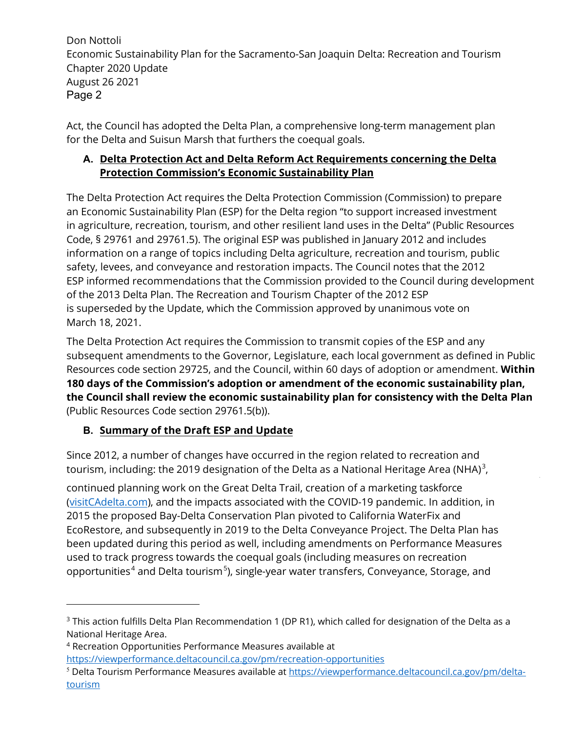Act, the Council has adopted the Delta Plan, a comprehensive long-term management plan for the Delta and Suisun Marsh that furthers the coequal goals.

### **A. Delta Protection Act and Delta Reform Act Requirements concerning the Delta Protection Commission's Economic Sustainability Plan**

 in agriculture, recreation, tourism, and other resilient land uses in the Delta" (Public Resources information on a range of topics including Delta agriculture, recreation and tourism, public safety, levees, and conveyance and restoration impacts. The Council notes that the 2012 ESP informed recommendations that the Commission provided to the Council during development is superseded by the Update, which the Commission approved by unanimous vote on The Delta Protection Act requires the Delta Protection Commission (Commission) to prepare an Economic Sustainability Plan (ESP) for the Delta region "to support increased investment Code, § 29761 and 29761.5). The original ESP was published in January 2012 and includes of the 2013 Delta Plan. The Recreation and Tourism Chapter of the 2012 ESP March 18, 2021.

 The Delta Protection Act requires the Commission to transmit copies of the ESP and any Resources code section 29725, and the Council, within 60 days of adoption or amendment. **Within**  subsequent amendments to the Governor, Legislature, each local government as defined in Public **180 days of the Commission's adoption or amendment of the economic sustainability plan, the Council shall review the economic sustainability plan for consistency with the Delta Plan**  (Public Resources Code section 29761.5(b)).

### **B. Summary of the Draft ESP and Update**

Since 2012, a number of changes have occurred in the region related to recreation and tourism, including: the 2019 designation of the Delta as a National Heritage Area (NHA)<sup>3</sup>,

 continued planning work on the Great Delta Trail, creation of a marketing taskforce [\(visitCAdelta.com\)](https://visitCAdelta.com), and the impacts associated with the COVID-19 pandemic. In addition, in EcoRestore, and subsequently in 2019 to the Delta Conveyance Project. The Delta Plan has used to track progress towards the coequal goals (including measures on recreation opportunities<sup>4</sup> and Delta tourism<sup>5</sup>), single-year water transfers, Conveyance, Storage, and 2015 the proposed Bay-Delta Conservation Plan pivoted to California WaterFix and been updated during this period as well, including amendments on Performance Measures

 <https://viewperformance.deltacouncil.ca.gov/pm/recreation-opportunities>4 Recreation Opportunities Performance Measures available at

 $3$  This action fulfills Delta Plan Recommendation 1 (DP R1), which called for designation of the Delta as a National Heritage Area.

<sup>&</sup>lt;sup>5</sup> Delta Tourism Performance Measures available at <https://viewperformance.deltacouncil.ca.gov/pm/delta>tourism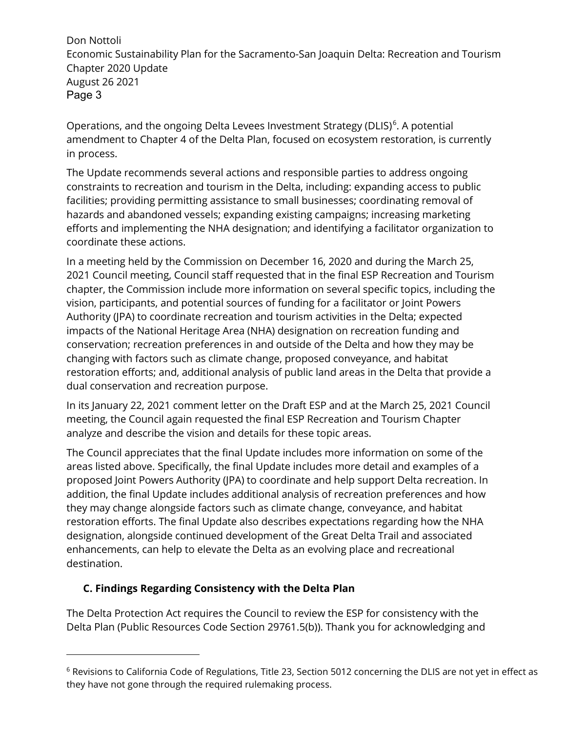Operations, and the ongoing Delta Levees Investment Strategy (DLIS)<sup>6</sup>. A potential amendment to Chapter 4 of the Delta Plan, focused on ecosystem restoration, is currently in process.

The Update recommends several actions and responsible parties to address ongoing constraints to recreation and tourism in the Delta, including: expanding access to public facilities; providing permitting assistance to small businesses; coordinating removal of hazards and abandoned vessels; expanding existing campaigns; increasing marketing efforts and implementing the NHA designation; and identifying a facilitator organization to coordinate these actions.

 In a meeting held by the Commission on December 16, 2020 and during the March 25, Authority (JPA) to coordinate recreation and tourism activities in the Delta; expected impacts of the National Heritage Area (NHA) designation on recreation funding and conservation; recreation preferences in and outside of the Delta and how they may be restoration efforts; and, additional analysis of public land areas in the Delta that provide a 2021 Council meeting, Council staff requested that in the final ESP Recreation and Tourism chapter, the Commission include more information on several specific topics, including the vision, participants, and potential sources of funding for a facilitator or Joint Powers changing with factors such as climate change, proposed conveyance, and habitat dual conservation and recreation purpose.

 meeting, the Council again requested the final ESP Recreation and Tourism Chapter In its January 22, 2021 comment letter on the Draft ESP and at the March 25, 2021 Council analyze and describe the vision and details for these topic areas.

 areas listed above. Specifically, the final Update includes more detail and examples of a proposed Joint Powers Authority (JPA) to coordinate and help support Delta recreation. In addition, the final Update includes additional analysis of recreation preferences and how restoration efforts. The final Update also describes expectations regarding how the NHA enhancements, can help to elevate the Delta as an evolving place and recreational The Council appreciates that the final Update includes more information on some of the they may change alongside factors such as climate change, conveyance, and habitat designation, alongside continued development of the Great Delta Trail and associated destination.

### **C. Findings Regarding Consistency with the Delta Plan**

 The Delta Protection Act requires the Council to review the ESP for consistency with the Delta Plan (Public Resources Code Section 29761.5(b)). Thank you for acknowledging and

<sup>6</sup> Revisions to California Code of Regulations, Title 23, Section 5012 concerning the DLIS are not yet in effect as they have not gone through the required rulemaking process.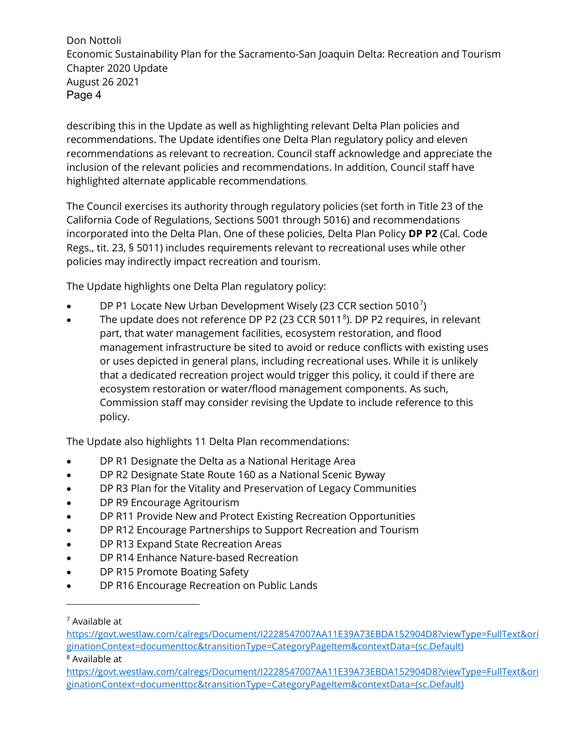recommendations. The Update identifies one Delta Plan regulatory policy and eleven recommendations as relevant to recreation. Council staff acknowledge and appreciate the inclusion of the relevant policies and recommendations. In addition, Council staff have describing this in the Update as well as highlighting relevant Delta Plan policies and highlighted alternate applicable recommendations.

 The Council exercises its authority through regulatory policies (set forth in Title 23 of the California Code of Regulations, Sections 5001 through 5016) and recommendations policies may indirectly impact recreation and tourism. incorporated into the Delta Plan. One of these policies, Delta Plan Policy **DP P2** (Cal. Code Regs., tit. 23, § 5011) includes requirements relevant to recreational uses while other

The Update highlights one Delta Plan regulatory policy:

- DP P1 Locate New Urban Development Wisely (23 CCR section 5010<sup>7</sup>)
- management infrastructure be sited to avoid or reduce conflicts with existing uses or uses depicted in general plans, including recreational uses. While it is unlikely Commission staff may consider revising the Update to include reference to this • The update does not reference DP P2 (23 CCR 5011 $\textdegree$ ). DP P2 requires, in relevant part, that water management facilities, ecosystem restoration, and flood that a dedicated recreation project would trigger this policy, it could if there are ecosystem restoration or water/flood management components. As such, policy.

The Update also highlights 11 Delta Plan recommendations:

- DP R1 Designate the Delta as a National Heritage Area
- DP R2 Designate State Route 160 as a National Scenic Byway
- DP R3 Plan for the Vitality and Preservation of Legacy Communities
- DP R9 Encourage Agritourism
- DP R11 Provide New and Protect Existing Recreation Opportunities
- DP R12 Encourage Partnerships to Support Recreation and Tourism
- DP R13 Expand State Recreation Areas
- DP R14 Enhance Nature-based Recreation
- DP R15 Promote Boating Safety
- DP R16 Encourage Recreation on Public Lands

<sup>7</sup> Available at

ginationContext=documenttoc&transitionType=CategoryPageItem&contextData=(sc.Default)<br><sup>8</sup> Available at https://govt.westlaw.com/calregs/Document/I2228547007AA11E39A73EBDA152904D8?viewType=FullText&ori

 ginationContext=documenttoc&transitionType=CategoryPageItem&contextData=(sc.Default) [https://govt.westlaw.com/calregs/Document/I2228547007AA11E39A73EBDA152904D8?viewType=FullText&ori](https://govt.westlaw.com/calregs/Document/I2228547007AA11E39A73EBDA152904D8?viewType=FullText&ori ginationContext=documenttoc&transitionType=CategoryPageItem&contextData=(sc.Default))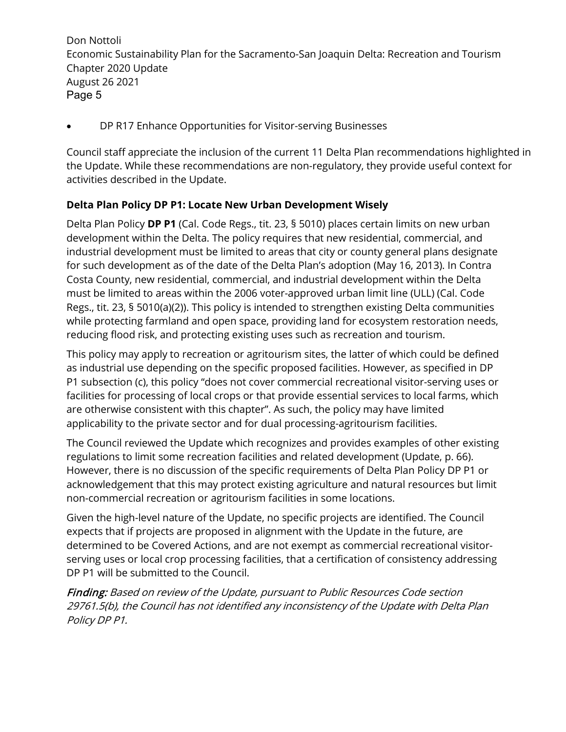• DP R17 Enhance Opportunities for Visitor-serving Businesses

 Council staff appreciate the inclusion of the current 11 Delta Plan recommendations highlighted in the Update. While these recommendations are non-regulatory, they provide useful context for activities described in the Update.

#### **Delta Plan Policy DP P1: Locate New Urban Development Wisely**

 development within the Delta. The policy requires that new residential, commercial, and for such development as of the date of the Delta Plan's adoption (May 16, 2013). In Contra Regs., tit. 23, § 5010(a)(2)). This policy is intended to strengthen existing Delta communities Delta Plan Policy **DP P1** (Cal. Code Regs., tit. 23, § 5010) places certain limits on new urban industrial development must be limited to areas that city or county general plans designate Costa County, new residential, commercial, and industrial development within the Delta must be limited to areas within the 2006 voter-approved urban limit line (ULL) (Cal. Code while protecting farmland and open space, providing land for ecosystem restoration needs, reducing flood risk, and protecting existing uses such as recreation and tourism.

This policy may apply to recreation or agritourism sites, the latter of which could be defined as industrial use depending on the specific proposed facilities. However, as specified in DP P1 subsection (c), this policy "does not cover commercial recreational visitor-serving uses or facilities for processing of local crops or that provide essential services to local farms, which are otherwise consistent with this chapter". As such, the policy may have limited applicability to the private sector and for dual processing-agritourism facilities.

 However, there is no discussion of the specific requirements of Delta Plan Policy DP P1 or The Council reviewed the Update which recognizes and provides examples of other existing regulations to limit some recreation facilities and related development (Update, p. 66). acknowledgement that this may protect existing agriculture and natural resources but limit non-commercial recreation or agritourism facilities in some locations.

 Given the high-level nature of the Update, no specific projects are identified. The Council expects that if projects are proposed in alignment with the Update in the future, are determined to be Covered Actions, and are not exempt as commercial recreational visitorserving uses or local crop processing facilities, that a certification of consistency addressing DP P1 will be submitted to the Council.

 Finding: Based on review of the Update, pursuant to Public Resources Code section 29761.5(b), the Council has not identified any inconsistency of the Update with Delta Plan Policy DP P1.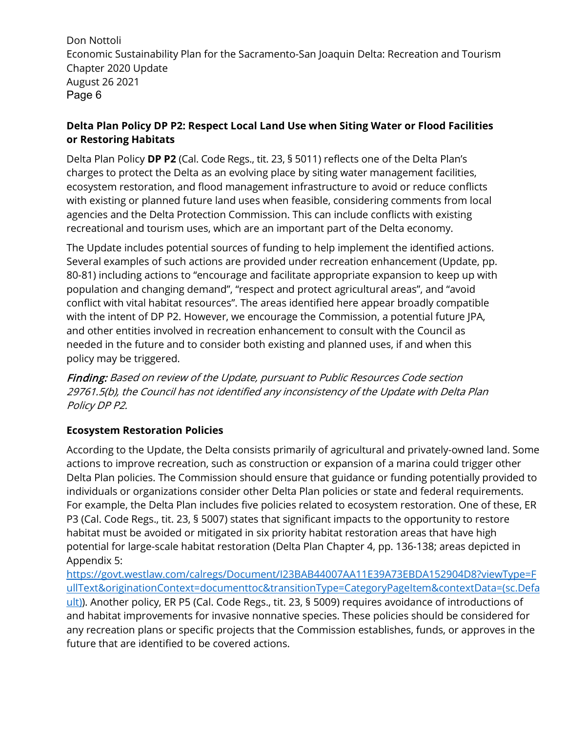#### **Delta Plan Policy DP P2: Respect Local Land Use when Siting Water or Flood Facilities or Restoring Habitats**

 charges to protect the Delta as an evolving place by siting water management facilities, ecosystem restoration, and flood management infrastructure to avoid or reduce conflicts with existing or planned future land uses when feasible, considering comments from local agencies and the Delta Protection Commission. This can include conflicts with existing recreational and tourism uses, which are an important part of the Delta economy. Delta Plan Policy **DP P2** (Cal. Code Regs., tit. 23, § 5011) reflects one of the Delta Plan's

 The Update includes potential sources of funding to help implement the identified actions. Several examples of such actions are provided under recreation enhancement (Update, pp. 80-81) including actions to "encourage and facilitate appropriate expansion to keep up with with the intent of DP P2. However, we encourage the Commission, a potential future JPA, and other entities involved in recreation enhancement to consult with the Council as needed in the future and to consider both existing and planned uses, if and when this population and changing demand", "respect and protect agricultural areas", and "avoid conflict with vital habitat resources". The areas identified here appear broadly compatible policy may be triggered.

 Finding: Based on review of the Update, pursuant to Public Resources Code section 29761.5(b), the Council has not identified any inconsistency of the Update with Delta Plan Policy DP P2.

### **Ecosystem Restoration Policies**

 Delta Plan policies. The Commission should ensure that guidance or funding potentially provided to For example, the Delta Plan includes five policies related to ecosystem restoration. One of these, ER P3 (Cal. Code Regs., tit. 23, § 5007) states that significant impacts to the opportunity to restore potential for large-scale habitat restoration (Delta Plan Chapter 4, pp. 136-138; areas depicted in According to the Update, the Delta consists primarily of agricultural and privately-owned land. Some actions to improve recreation, such as construction or expansion of a marina could trigger other individuals or organizations consider other Delta Plan policies or state and federal requirements. habitat must be avoided or mitigated in six priority habitat restoration areas that have high Appendix 5:

[ult\)\)](https://govt.westlaw.com/calregs/Document/I23BAB44007AA11E39A73EBDA152904D8?viewType=FullText&originationContext=documenttoc&transitionType=CategoryPageItem&contextData=(sc.Default)). Another policy, ER P5 (Cal. Code Regs., tit. 23, § 5009) requires avoidance of introductions of any recreation plans or specific projects that the Commission establishes, funds, or approves in the future that are identified to be covered actions. [https://govt.westlaw.com/calregs/Document/I23BAB44007AA11E39A73EBDA152904D8?viewType=F](https://govt.westlaw.com/calregs/Document/I23BAB44007AA11E39A73EBDA152904D8?viewType=FullText&originationContext=documenttoc&transitionType=CategoryPageItem&contextData=(sc.Default))  [ullText&originationContext=documenttoc&transitionType=CategoryPageItem&contextData=\(sc.Defa](https://govt.westlaw.com/calregs/Document/I23BAB44007AA11E39A73EBDA152904D8?viewType=FullText&originationContext=documenttoc&transitionType=CategoryPageItem&contextData=(sc.Default))  and habitat improvements for invasive nonnative species. These policies should be considered for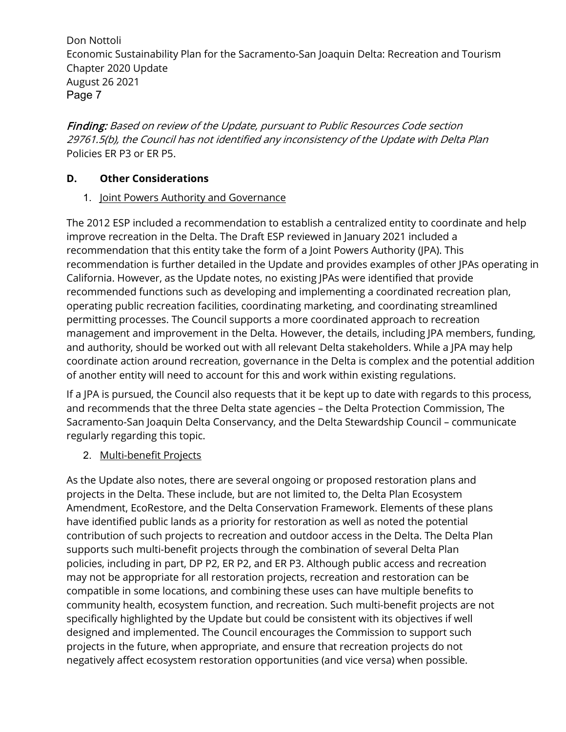Finding: Based on review of the Update, pursuant to Public Resources Code section 29761.5(b), the Council has not identified any inconsistency of the Update with Delta Plan Policies ER P3 or ER P5.

### **D. Other Considerations**

#### 1. Joint Powers Authority and Governance

 The 2012 ESP included a recommendation to establish a centralized entity to coordinate and help improve recreation in the Delta. The Draft ESP reviewed in January 2021 included a California. However, as the Update notes, no existing JPAs were identified that provide permitting processes. The Council supports a more coordinated approach to recreation and authority, should be worked out with all relevant Delta stakeholders. While a JPA may help of another entity will need to account for this and work within existing regulations. recommendation that this entity take the form of a Joint Powers Authority (JPA). This recommendation is further detailed in the Update and provides examples of other JPAs operating in recommended functions such as developing and implementing a coordinated recreation plan, operating public recreation facilities, coordinating marketing, and coordinating streamlined management and improvement in the Delta. However, the details, including JPA members, funding, coordinate action around recreation, governance in the Delta is complex and the potential addition

 If a JPA is pursued, the Council also requests that it be kept up to date with regards to this process, and recommends that the three Delta state agencies – the Delta Protection Commission, The Sacramento-San Joaquin Delta Conservancy, and the Delta Stewardship Council – communicate regularly regarding this topic.

### 2. Multi-benefit Projects

 designed and implemented. The Council encourages the Commission to support such projects in the future, when appropriate, and ensure that recreation projects do not As the Update also notes, there are several ongoing or proposed restoration plans and projects in the Delta. These include, but are not limited to, the Delta Plan Ecosystem Amendment, EcoRestore, and the Delta Conservation Framework. Elements of these plans have identified public lands as a priority for restoration as well as noted the potential contribution of such projects to recreation and outdoor access in the Delta. The Delta Plan supports such multi-benefit projects through the combination of several Delta Plan policies, including in part, DP P2, ER P2, and ER P3. Although public access and recreation may not be appropriate for all restoration projects, recreation and restoration can be compatible in some locations, and combining these uses can have multiple benefits to community health, ecosystem function, and recreation. Such multi-benefit projects are not specifically highlighted by the Update but could be consistent with its objectives if well negatively affect ecosystem restoration opportunities (and vice versa) when possible.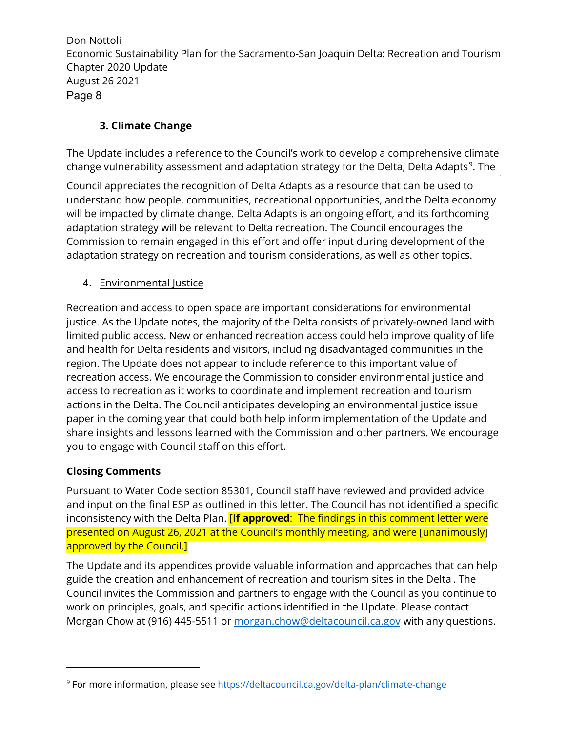## **3. Climate Change**

 The Update includes a reference to the Council's work to develop a comprehensive climate change vulnerability assessment and adaptation strategy for the Delta, Delta Adapts<sup>9</sup>. The

 Council appreciates the recognition of Delta Adapts as a resource that can be used to will be impacted by climate change. Delta Adapts is an ongoing effort, and its forthcoming adaptation strategy will be relevant to Delta recreation. The Council encourages the understand how people, communities, recreational opportunities, and the Delta economy Commission to remain engaged in this effort and offer input during development of the adaptation strategy on recreation and tourism considerations, as well as other topics.

# 4. <u>Environmental Justice</u>

 justice. As the Update notes, the majority of the Delta consists of privately-owned land with limited public access. New or enhanced recreation access could help improve quality of life and health for Delta residents and visitors, including disadvantaged communities in the access to recreation as it works to coordinate and implement recreation and tourism paper in the coming year that could both help inform implementation of the Update and Recreation and access to open space are important considerations for environmental region. The Update does not appear to include reference to this important value of recreation access. We encourage the Commission to consider environmental justice and actions in the Delta. The Council anticipates developing an environmental justice issue share insights and lessons learned with the Commission and other partners. We encourage you to engage with Council staff on this effort.

### **Closing Comments**

 Pursuant to Water Code section 85301, Council staff have reviewed and provided advice and input on the final ESP as outlined in this letter. The Council has not identified a specific inconsistency with the Delta Plan. [**If approved**: The findings in this comment letter were presented on August 26, 2021 at the Council's monthly meeting, and were [unanimously] approved by the Council.]

 The Update and its appendices provide valuable information and approaches that can help Council invites the Commission and partners to engage with the Council as you continue to guide the creation and enhancement of recreation and tourism sites in the Delta . The work on principles, goals, and specific actions identified in the Update. Please contact Morgan Chow at (916) 445-5511 or morgan.chow@deltacouncil.ca.gov with any questions.

<sup>&</sup>lt;sup>9</sup> For more information, please see <u>https://deltacouncil.ca.gov/delta-plan/climate-change</u>